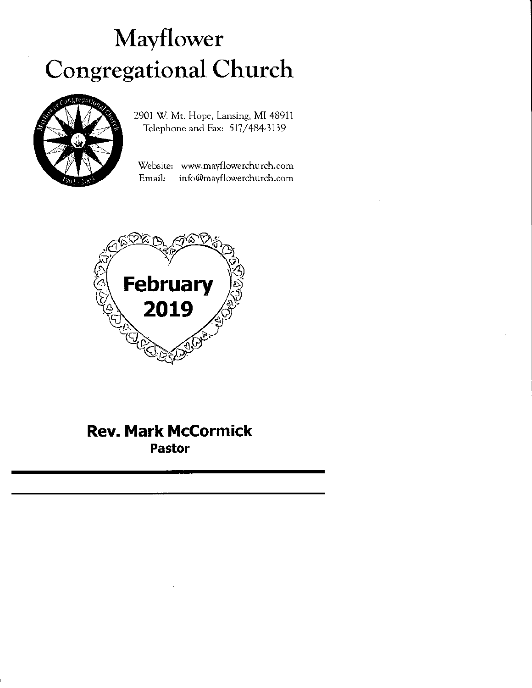# Mayflower Congregational Church



2901 W. Mt. Hope, Lansing, MI 48911 Telephone and Fax: 517/484-3139

'Website: www.mayflowerchurch.com Email: info@mayflowerchurch.com



## Rev. Mark McCormick Pastor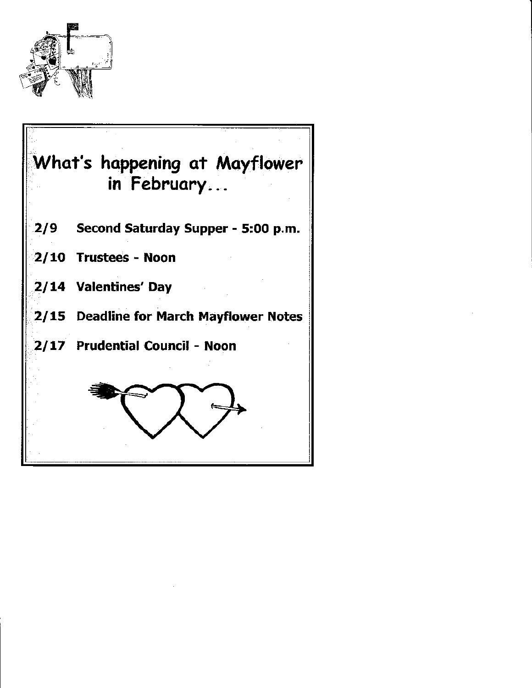

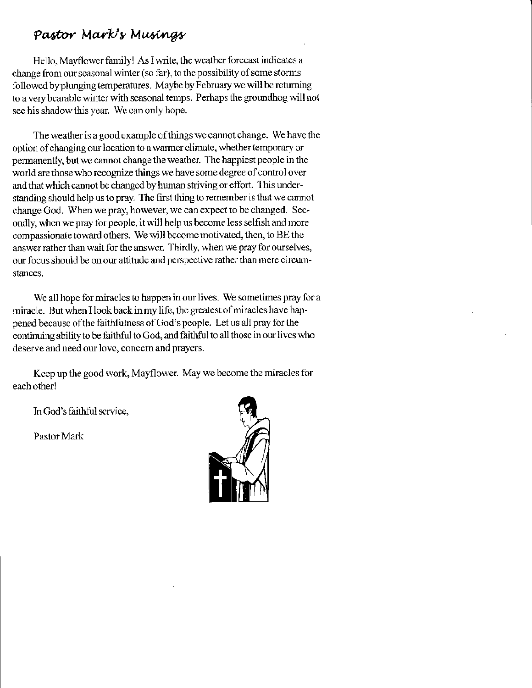### Pastor Mark's Musings

Hello, Mayflower family! As I write, the weather forecast indicates a change from our seasonal winter (so far), to the possibility of some storms followed by plunging temperatures. Maybe by February we will be returning to a very bearable winter with seasonal temps. Perhaps the groundhog will not see his shadow this year. We can only hope.

The weather is a good example of things we cannot change. We have the option of changing our location to a warmer climate, whether temporary or pemanently, but wc cannot change the weather. 1 he happiest people in thc world are those who recognize things we have some degree of control over and that which cannot be changed by human striving or effort. This understanding should help us to pray. The first thing to remember is that we cannot change God. When we pray, however, wc can expect to be changed. Secondly, when we pray for people, it will help us become less selfish and more compassionate toward others. We will become motivated, then, to BE the answer rather than wait for the answer. Thirdly, when we pray for ourselves, our focus should be on our attifudc and perspective rather than mere circumstances.

We all hope for miracles to happen in our lives. We sometimes pray for a miracle. But when I look back in my life, the greatest of miracles have happened becausc of the faithfulness of God's people. Let us all pray for the continuing ability to be faithful to God, and faithful to all those in our lives who desene and need our lovc, concem and prayers.

Keep up the good work, Mayflower. May we become the miracles for each other!

In God's faithful scrvice,

Pastor Mark

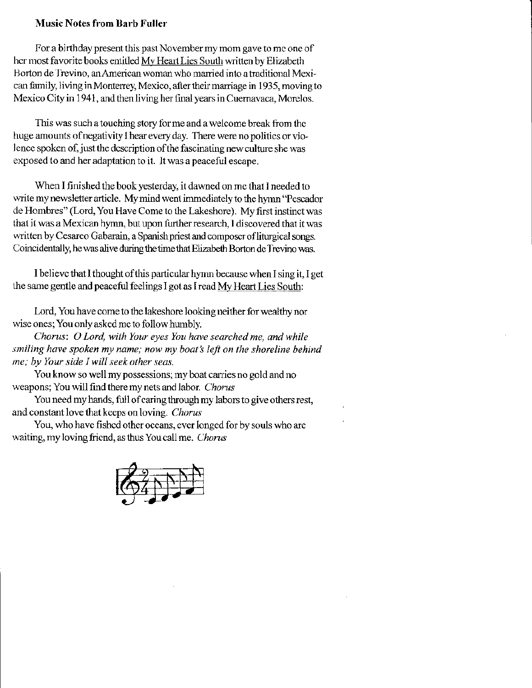#### Music Notes from Barb Fuller

For a birthday present this past November my mom gave to me one of her most favorite books entitled My Heart Lies South written by Elizabeth Borton de Trevino, an American woman who married into a traditional Mexican family, living in Monterrey, Mexico, after their marriage in 1935, moving to Mexico City in 1941, and then living her final years in Cuernavaca, Morelos.

This was such a touching story for me and a welcome break from the huge amounts of negativity I hear every day. There were no politics or violence spoken of, just the description of the fascinating new culture she was exposed to and her adaptation to it. It was a peacelul escape.

When I finished the book yesterday, it dawned on me that I needed to write my newsletter article. My mind went immediately to the hymn "Pescador" de Hombres" (Lord, You Have Come to the Lakeshorc). My first instinct was that it was a Mexican hymn, but upon further research, I discovered that it was written by Cesareo Gabarain, a Spanish priest and composer of liturgical songs. Coincidentally, he was alive during the time that Elizabeth Borton de Trevino was.

I believc that I thought ofthis particular hyrm because when I sing it, I get the same gentle and peaceful feelings I got as I read My Heart Lies South:

Lord, You have come to the lakeshore looking neither for wealthy nor wise ones; You only asked me to follow humbly.

Chorus: O Lord, with Your eyes You have searched me, and while smiling have spoken my name; now my boat's left on the shoreline behind me; by Your side I will seek other seas.

You know so well my possessions; my boat carries no gold and no weapons; You will find there my nets and labor. Chorus

You need my hands, full of caring through my labors to give others rest, and constant love that keeps on loving. Chorus

You, who have fished other oceans, ever longed for by souls who are waiting, my loving friend, as thus You call me. Chorus

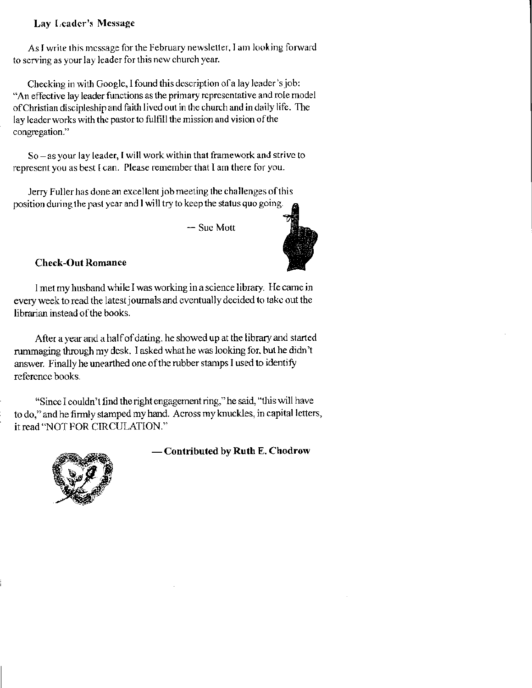#### Lay Leader's Message

As I write this message for the February newsletter, I am looking forward to serving as your lay leader for this new church year.

Checking in with Google, I found this description of a lay leader's job: "An effective lay leader functions as the primary representative and role model of Christian discipleship and faith lived out in the church and in daily life. The lay leader works with the pastor to fulfill the mission and vision of the congregation."

So - as your lay leader, I will work within that framework and strive to represent you as best I can. Please remember that I am there for you.

Jerry Fuller has done an excellent job meeting the challenges of this position during the past year and I will try to keep the status quo going.

- Sue Mott



#### **Check-Out Romance**

I met my husband while I was working in a science library. He came in every week to read the latest journals and eventually decided to take out the librarian instead of the books.

After a year and a half of dating, he showed up at the library and started rummaging through my desk. I asked what he was looking for, but he didn't answer. Finally he unearthed one of the rubber stamps I used to identify reference books.

"Since I couldn't find the right engagement ring," he said, "this will have to do," and he firmly stamped my hand. Across my knuckles, in capital letters, it read "NOT FOR CIRCULATION."



#### — Contributed by Ruth E. Chodrow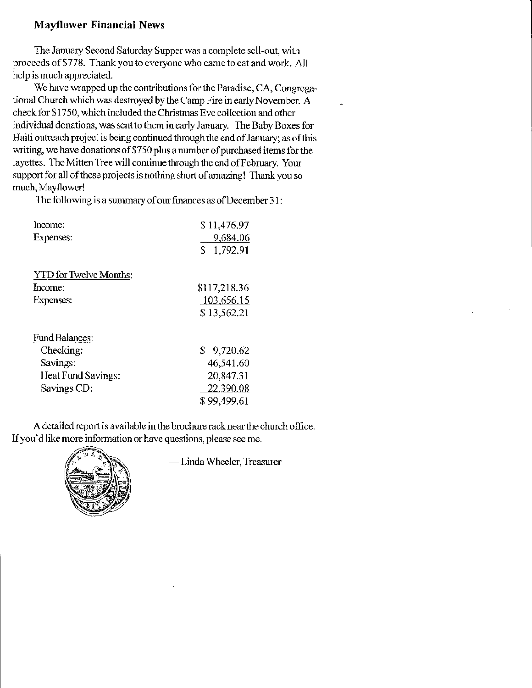#### **Mayflower Financial News**

The January Second Saturday Supper was a complete sell-out, with proceeds of \$778. Thank you to everyone who came to eat and work. All help is much appreciated.

We have wrapped up the contributions for the Paradise, CA, Congregational Church which was destroyed by the Camp Fire in early November. A check for \$1750, which included the Christmas Eve collection and other individual donations, was sent to them in early January. The Baby Boxes for Haiti outreach project is being continued through the end of January; as of this writing, we have donations of \$750 plus a number of purchased items for the layettes. The Mitten Tree will continue through the end of February. Your support for all of these projects is nothing short of amazing! Thank you so much, Mayflower!

The following is a summary of our finances as of December 31:

| Income:                       | \$11,476.97    |
|-------------------------------|----------------|
| Expenses:                     | 9,684.06       |
|                               | \$<br>1,792.91 |
| <b>YTD</b> for Twelve Months: |                |
| Income:                       | \$117,218.36   |
| Expenses:                     | 103,656.15     |
|                               | \$13,562.21    |
| <b>Fund Balances:</b>         |                |
| Checking:                     | \$9,720.62     |
| Savings:                      | 46,541.60      |
| Heat Fund Savings:            | 20,847.31      |
| Savings CD:                   | 22,390.08      |
|                               | \$99.499.61    |

A detailed report is available in the brochure rack near the church office. If you'd like more information or have questions, please see me.



-Linda Wheeler, Treasurer